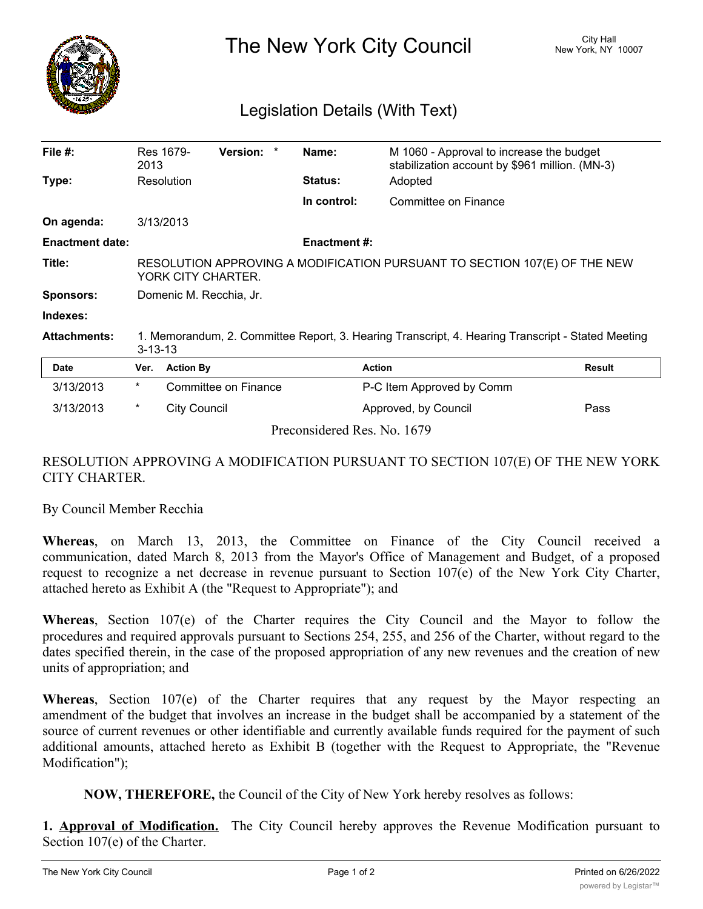

The New York City Council New York, NY 10007

## Legislation Details (With Text)

| File #:                | 2013                                                                                                               | Res 1679-        | Version: *           |  | Name:               | M 1060 - Approval to increase the budget<br>stabilization account by \$961 million. (MN-3) |        |
|------------------------|--------------------------------------------------------------------------------------------------------------------|------------------|----------------------|--|---------------------|--------------------------------------------------------------------------------------------|--------|
| Type:                  |                                                                                                                    | Resolution       |                      |  | <b>Status:</b>      | Adopted                                                                                    |        |
|                        |                                                                                                                    |                  |                      |  | In control:         | Committee on Finance                                                                       |        |
| On agenda:             |                                                                                                                    | 3/13/2013        |                      |  |                     |                                                                                            |        |
| <b>Enactment date:</b> |                                                                                                                    |                  |                      |  | <b>Enactment #:</b> |                                                                                            |        |
| Title:                 | RESOLUTION APPROVING A MODIFICATION PURSUANT TO SECTION 107(E) OF THE NEW<br>YORK CITY CHARTER.                    |                  |                      |  |                     |                                                                                            |        |
| <b>Sponsors:</b>       | Domenic M. Recchia, Jr.                                                                                            |                  |                      |  |                     |                                                                                            |        |
| Indexes:               |                                                                                                                    |                  |                      |  |                     |                                                                                            |        |
| <b>Attachments:</b>    | 1. Memorandum, 2. Committee Report, 3. Hearing Transcript, 4. Hearing Transcript - Stated Meeting<br>$3 - 13 - 13$ |                  |                      |  |                     |                                                                                            |        |
| Date                   | Ver.                                                                                                               | <b>Action By</b> |                      |  | <b>Action</b>       |                                                                                            | Result |
| 3/13/2013              | $\ast$                                                                                                             |                  | Committee on Finance |  |                     | P-C Item Approved by Comm                                                                  |        |
| 3/13/2013              | $^\star$                                                                                                           | City Council     |                      |  |                     | Approved, by Council                                                                       | Pass   |

RESOLUTION APPROVING A MODIFICATION PURSUANT TO SECTION 107(E) OF THE NEW YORK CITY CHARTER.

Preconsidered Res. No. 1679

By Council Member Recchia

**Whereas**, on March 13, 2013, the Committee on Finance of the City Council received a communication, dated March 8, 2013 from the Mayor's Office of Management and Budget, of a proposed request to recognize a net decrease in revenue pursuant to Section 107(e) of the New York City Charter, attached hereto as Exhibit A (the "Request to Appropriate"); and

**Whereas**, Section 107(e) of the Charter requires the City Council and the Mayor to follow the procedures and required approvals pursuant to Sections 254, 255, and 256 of the Charter, without regard to the dates specified therein, in the case of the proposed appropriation of any new revenues and the creation of new units of appropriation; and

**Whereas**, Section 107(e) of the Charter requires that any request by the Mayor respecting an amendment of the budget that involves an increase in the budget shall be accompanied by a statement of the source of current revenues or other identifiable and currently available funds required for the payment of such additional amounts, attached hereto as Exhibit B (together with the Request to Appropriate, the "Revenue Modification");

**NOW, THEREFORE,** the Council of the City of New York hereby resolves as follows:

**1. Approval of Modification.** The City Council hereby approves the Revenue Modification pursuant to Section 107(e) of the Charter.